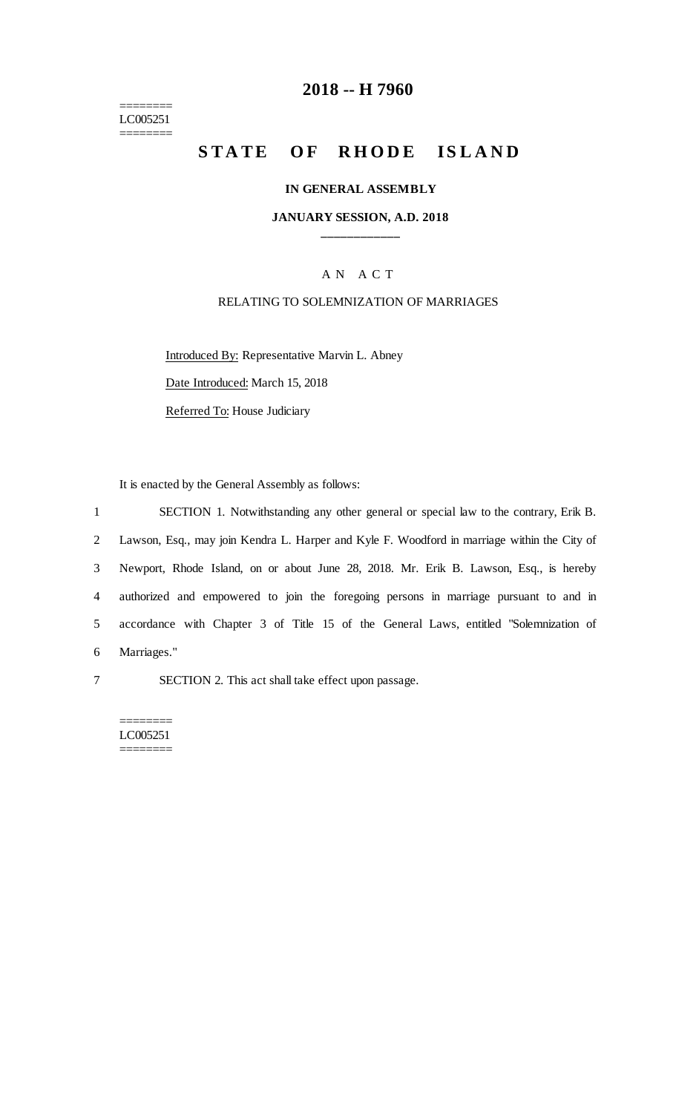======== LC005251 ========

## **2018 -- H 7960**

# **STATE OF RHODE ISLAND**

#### **IN GENERAL ASSEMBLY**

#### **JANUARY SESSION, A.D. 2018 \_\_\_\_\_\_\_\_\_\_\_\_**

### A N A C T

### RELATING TO SOLEMNIZATION OF MARRIAGES

Introduced By: Representative Marvin L. Abney Date Introduced: March 15, 2018 Referred To: House Judiciary

It is enacted by the General Assembly as follows:

 SECTION 1. Notwithstanding any other general or special law to the contrary, Erik B. Lawson, Esq., may join Kendra L. Harper and Kyle F. Woodford in marriage within the City of Newport, Rhode Island, on or about June 28, 2018. Mr. Erik B. Lawson, Esq., is hereby authorized and empowered to join the foregoing persons in marriage pursuant to and in accordance with Chapter 3 of Title 15 of the General Laws, entitled "Solemnization of Marriages."

7 SECTION 2. This act shall take effect upon passage.

======== LC005251 ========